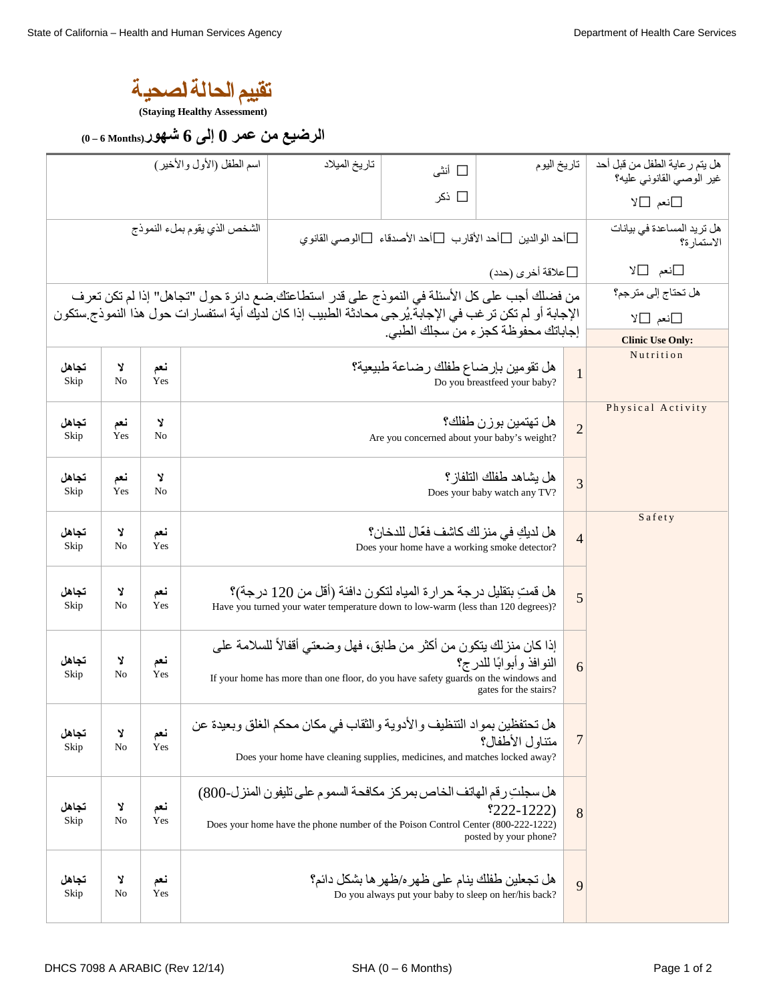**تقییم الحا لــة الصحیــة** 

**(Staying Healthy Assessment)** 

**ال رضیع من عمر 0 إلى 6 شھور (Months 6 – 0(**

| اسم الطفل (الأول والأخير)                                                                                                                       |            |            |                                                                                                                                                                                           | تاريخ الميلاد                                                                               | □ أنثي | تاريخ اليوم |  | هل يتم ر عاية الطفل من قبل أحد<br>غير الوصيي القانوني عليه؟ |
|-------------------------------------------------------------------------------------------------------------------------------------------------|------------|------------|-------------------------------------------------------------------------------------------------------------------------------------------------------------------------------------------|---------------------------------------------------------------------------------------------|--------|-------------|--|-------------------------------------------------------------|
|                                                                                                                                                 |            |            |                                                                                                                                                                                           |                                                                                             | ا ذکر  |             |  | ⊡نعم □لا                                                    |
|                                                                                                                                                 |            |            | الشخص الذي يقوم بملء النموذج                                                                                                                                                              | أحد الوالدين $\Box$ أحد الأقارب $\Box$ أحد الأصدقاء $\Box$ الوصبي القانوي $\Box$            |        |             |  | هل تريد المساعدة في بيانات<br>الاستمارة؟                    |
| علاقة أخرى (حدد) $\Box$                                                                                                                         |            |            |                                                                                                                                                                                           |                                                                                             |        |             |  | ⊡نعم ⊡لا                                                    |
|                                                                                                                                                 |            |            |                                                                                                                                                                                           | من فضلك أجب على كل الأسئلة في النموذج على قدر استطاعتك ضع دائرة حول "تجاهل" إذا لم تكن تعرف |        |             |  | هل تحتاج إلى مترجم؟                                         |
| الإجابة أو لم تكن تر غب في الإجابة يُر جي محادثة الطبيب إذا كان لديك أية استفسار ات حول هذا النموذج ستكون<br>إجاباتك محفوظة كجزء من سجلك الطبي. |            |            |                                                                                                                                                                                           |                                                                                             |        |             |  | ⊡نعم ⊡لا                                                    |
|                                                                                                                                                 |            |            |                                                                                                                                                                                           |                                                                                             |        |             |  | <b>Clinic Use Only:</b><br>Nutrition                        |
| تجاهل<br>Skip                                                                                                                                   | Y<br>No    | نعم<br>Yes |                                                                                                                                                                                           | $\mathbf{1}$                                                                                |        |             |  |                                                             |
| تجاهل                                                                                                                                           | نعم        | Y          |                                                                                                                                                                                           |                                                                                             |        |             |  | Physical Activity                                           |
| Skip                                                                                                                                            | Yes        | No         | هل تهتمين بو ز ن طفلك؟<br>$\overline{2}$<br>Are you concerned about your baby's weight?                                                                                                   |                                                                                             |        |             |  |                                                             |
| تجاهل<br>Skip                                                                                                                                   | نعم<br>Yes | Y<br>No    | هل يشاهد طفلك التلفاز ؟<br>$\overline{3}$<br>Does your baby watch any TV?                                                                                                                 |                                                                                             |        |             |  |                                                             |
| تجاهل<br>Skip                                                                                                                                   | צ<br>No    | نعم<br>Yes | هل لديك في منز لك كاشف فعّال للدخان؟<br>$\overline{4}$<br>Does your home have a working smoke detector?                                                                                   |                                                                                             |        |             |  | Safety                                                      |
| تجاهل<br>Skip                                                                                                                                   | צ<br>No    | نعم<br>Yes | هل قمتِ بتقليل درجة حر ار ة المياه لتكون دافئة (أقل من 120 درجة)؟<br>5<br>Have you turned your water temperature down to low-warm (less than 120 degrees)?                                |                                                                                             |        |             |  |                                                             |
| تجاهل<br>Skip                                                                                                                                   | Y<br>No    | نعم<br>Yes | إذا كان منز لك يتكون من أكثر ٍ من طابق، فهل وضعتي أقفالاً للسلامة على<br>If your home has more than one floor, do you have safety guards on the windows and                               | 6                                                                                           |        |             |  |                                                             |
| تجاهل<br>Skip                                                                                                                                   | ¥<br>No    | نعم<br>Yes | هل تحتفظين بمواد التنظيف والأدوية والثقاب في مكان محكم الغلق وبعيدة عن<br>$\overline{7}$<br>متناول الأطفال؟<br>Does your home have cleaning supplies, medicines, and matches locked away? |                                                                                             |        |             |  |                                                             |
| تجاهل<br>Skip                                                                                                                                   | ¥<br>No    | نعم<br>Yes | هل سجلتِ رقم الهاتف الخاص بمركز مكافحة السموم على تليفون المنزل-800)<br>Does your home have the phone number of the Poison Control Center (800-222-1222)                                  | 8                                                                                           |        |             |  |                                                             |
| تجاهل<br>Skip                                                                                                                                   | Y<br>No    | نعم<br>Yes |                                                                                                                                                                                           | 9                                                                                           |        |             |  |                                                             |